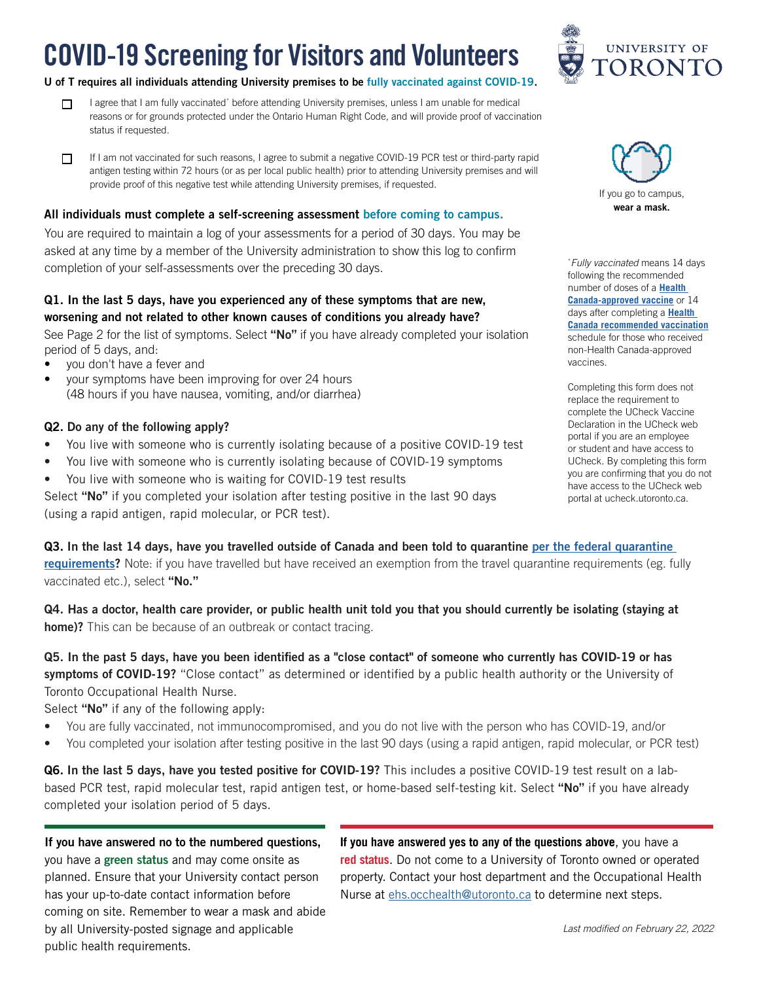# COVID-19 Screening for Visitors and Volunteers

#### U of T requires all individuals attending University premises to be fully vaccinated against COVID-19.

- I agree that I am fully vaccinated\* before attending University premises, unless I am unable for medical  $\Box$ reasons or for grounds protected under the Ontario Human Right Code, and will provide proof of vaccination status if requested.
- If I am not vaccinated for such reasons, I agree to submit a negative COVID-19 PCR test or third-party rapid  $\Box$ antigen testing within 72 hours (or as per local public health) prior to attending University premises and will provide proof of this negative test while attending University premises, if requested.

#### All individuals must complete a self-screening assessment before coming to campus.

You are required to maintain a log of your assessments for a period of 30 days. You may be asked at any time by a member of the University administration to show this log to confirm completion of your self-assessments over the preceding 30 days.

#### Q1. In the last 5 days, have you experienced any of these symptoms that are new, worsening and not related to other known causes of conditions you already have?

See Page 2 for the list of symptoms. Select "No" if you have already completed your isolation period of 5 days, and:

- you don't have a fever and
- your symptoms have been improving for over 24 hours (48 hours if you have nausea, vomiting, and/or diarrhea)

#### Q2. Do any of the following apply?

- You live with someone who is currently isolating because of a positive COVID-19 test
- You live with someone who is currently isolating because of COVID-19 symptoms
- You live with someone who is waiting for COVID-19 test results

Select "No" if you completed your isolation after testing positive in the last 90 days (using a rapid antigen, rapid molecular, or PCR test).

Q3. In the last 14 days, have you travelled outside of Canada and been told to quarantine [per the federal quarantine](https://travel.gc.ca/travel-covid/travel-restrictions/exemptions)  [requirements?](https://travel.gc.ca/travel-covid/travel-restrictions/exemptions) Note: if you have travelled but have received an exemption from the travel quarantine requirements (eg. fully vaccinated etc.), select "No."

Q4. Has a doctor, health care provider, or public health unit told you that you should currently be isolating (staying at home)? This can be because of an outbreak or contact tracing.

Q5. In the past 5 days, have you been identified as a "close contact" of someone who currently has COVID-19 or has symptoms of COVID-19? "Close contact" as determined or identified by a public health authority or the University of Toronto Occupational Health Nurse.

Select "No" if any of the following apply:

- You are fully vaccinated, not immunocompromised, and you do not live with the person who has COVID-19, and/or
- You completed your isolation after testing positive in the last 90 days (using a rapid antigen, rapid molecular, or PCR test)

Q6. In the last 5 days, have you tested positive for COVID-19? This includes a positive COVID-19 test result on a labbased PCR test, rapid molecular test, rapid antigen test, or home-based self-testing kit. Select "No" if you have already completed your isolation period of 5 days.

If you have answered no to the numbered questions, you have a green status and may come onsite as planned. Ensure that your University contact person has your up-to-date contact information before coming on site. Remember to wear a mask and abide by all University-posted signage and applicable public health requirements.

**If you have answered yes to any of the questions above**, you have a **red status**. Do not come to a University of Toronto owned or operated property. Contact your host department and the Occupational Health Nurse at [ehs.occhealth@utoronto.ca](mailto:ehs.occhealth%40utoronto.ca?subject=) to determine next steps.



\* *Fully vaccinated* means 14 days following the recommended number of doses of a **[Health](https://www.canada.ca/en/health-canada/services/drugs-health-products/covid19-industry/drugs-vaccines-treatments/vaccines.html)  [Canada-approved vaccine](https://www.canada.ca/en/health-canada/services/drugs-health-products/covid19-industry/drugs-vaccines-treatments/vaccines.html)** or 14 days after completing a **[Health](https://www.canada.ca/en/public-health/services/diseases/2019-novel-coronavirus-infection/guidance-documents/recommendations-those-vaccinated-with-vaccines-not-authorized-health-canada-staying-canada-live-work-study.html#a3)  [Canada recommended vaccination](https://www.canada.ca/en/public-health/services/diseases/2019-novel-coronavirus-infection/guidance-documents/recommendations-those-vaccinated-with-vaccines-not-authorized-health-canada-staying-canada-live-work-study.html#a3)** schedule for those who received non-Health Canada-approved vaccines.

Completing this form does not replace the requirement to complete the UCheck Vaccine Declaration in the UCheck web portal if you are an employee or student and have access to UCheck. By completing this form you are confirming that you do not have access to the UCheck web portal at ucheck.utoronto.ca.

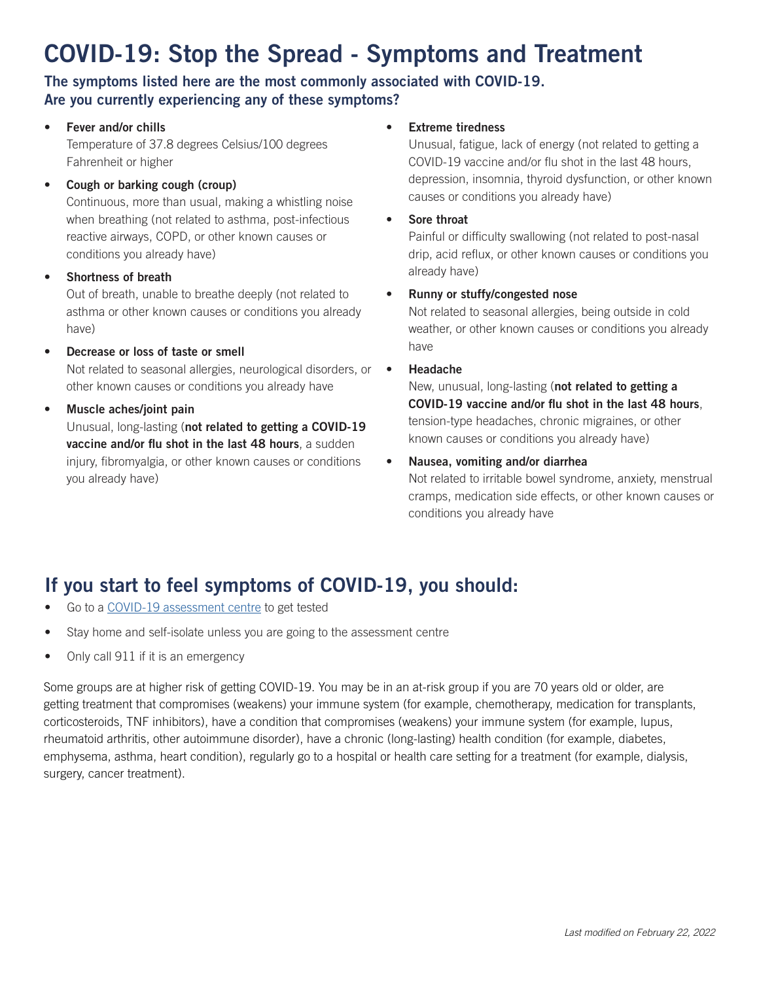## COVID-19: Stop the Spread - Symptoms and Treatment

#### The symptoms listed here are the most commonly associated with COVID-19. Are you currently experiencing any of these symptoms?

• Fever and/or chills

Temperature of 37.8 degrees Celsius/100 degrees Fahrenheit or higher

#### • Cough or barking cough (croup)

Continuous, more than usual, making a whistling noise when breathing (not related to asthma, post-infectious reactive airways, COPD, or other known causes or conditions you already have)

• Shortness of breath

Out of breath, unable to breathe deeply (not related to asthma or other known causes or conditions you already have)

- Decrease or loss of taste or smell Not related to seasonal allergies, neurological disorders, or other known causes or conditions you already have
- Muscle aches/joint pain

Unusual, long-lasting (not related to getting a COVID-19 vaccine and/or flu shot in the last 48 hours, a sudden injury, fibromyalgia, or other known causes or conditions you already have)

#### **Extreme tiredness**

Unusual, fatigue, lack of energy (not related to getting a COVID-19 vaccine and/or flu shot in the last 48 hours, depression, insomnia, thyroid dysfunction, or other known causes or conditions you already have)

Sore throat

Painful or difficulty swallowing (not related to post-nasal drip, acid reflux, or other known causes or conditions you already have)

#### • Runny or stuffy/congested nose

Not related to seasonal allergies, being outside in cold weather, or other known causes or conditions you already have

#### • Headache

New, unusual, long-lasting (not related to getting a COVID-19 vaccine and/or flu shot in the last 48 hours, tension-type headaches, chronic migraines, or other known causes or conditions you already have)

#### • Nausea, vomiting and/or diarrhea

Not related to irritable bowel syndrome, anxiety, menstrual cramps, medication side effects, or other known causes or conditions you already have

### If you start to feel symptoms of COVID-19, you should:

- Go to a COVID-19 assessment centre to get tested
- Stay home and self-isolate unless you are going to the assessment centre
- Only call 911 if it is an emergency

Some groups are at higher risk of getting COVID-19. You may be in an at-risk group if you are 70 years old or older, are getting treatment that compromises (weakens) your immune system (for example, chemotherapy, medication for transplants, corticosteroids, TNF inhibitors), have a condition that compromises (weakens) your immune system (for example, lupus, rheumatoid arthritis, other autoimmune disorder), have a chronic (long-lasting) health condition (for example, diabetes, emphysema, asthma, heart condition), regularly go to a hospital or health care setting for a treatment (for example, dialysis, surgery, cancer treatment).